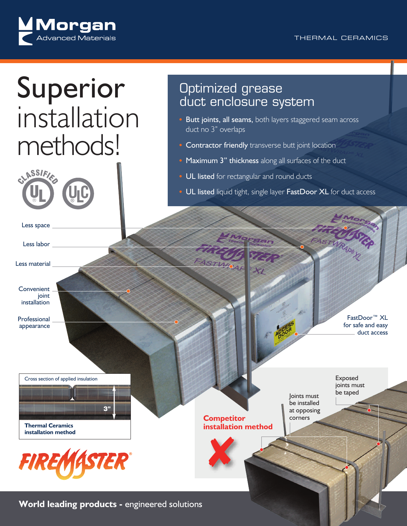



## Superior installation methods!

## Optimized grease duct enclosure system

- Butt joints, all seams, both layers staggered seam across duct no 3" overlaps
- Contractor friendly transverse butt joint location
- Maximum 3" thickness along all surfaces of the duct
- UL listed for rectangular and round ducts

**Competitor**

STWO4

✘

**installation method**

• UL listed liquid tight, single layer FastDoor XL for duct access

Less space

CLASSIFIE

Less labor

Less material

Convenient joint installation

Professional appearance

Cross section of applied insulation



**installation method**



**World leading products -** engineered solutions

FastDoor™ XL for safe and easy duct access

joints must be taped

Exposed

Joints must be installed at opposing corners